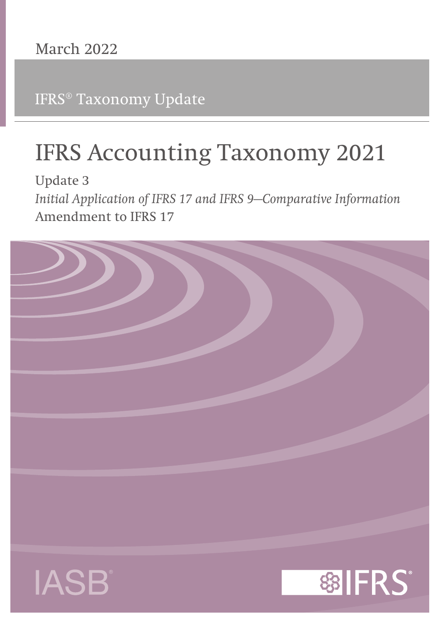IFRS® Taxonomy Update

# **IFRS Accounting Taxonomy 2021**

**Update 3** *Initial Application of IFRS 17 and IFRS 9—Comparative Information* **Amendment to IFRS 17**

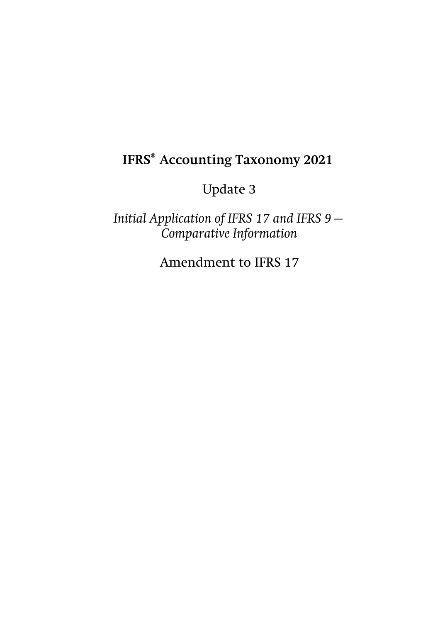# **IFRS® Accounting Taxonomy 2021**

# Update 3

*Initial Application of IFRS 17 and IFRS 9— Comparative Information*

Amendment to IFRS 17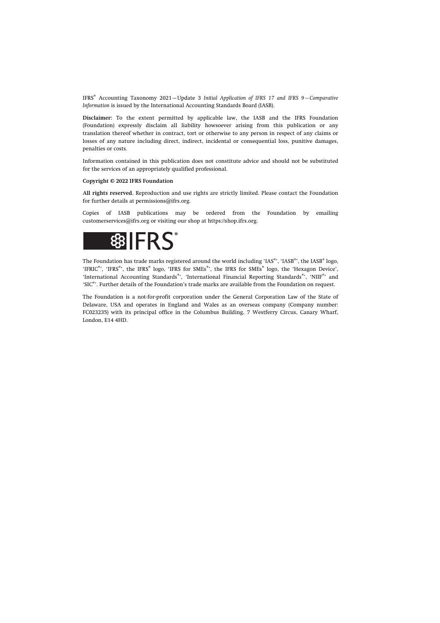IFRS® Accounting Taxonomy 2021—Update 3 *Initial Application of IFRS 17 and IFRS 9—Comparative Information* is issued by the International Accounting Standards Board (IASB).

**Disclaimer:** To the extent permitted by applicable law, the IASB and the IFRS Foundation (Foundation) expressly disclaim all liability howsoever arising from this publication or any translation thereof whether in contract, tort or otherwise to any person in respect of any claims or losses of any nature including direct, indirect, incidental or consequential loss, punitive damages, penalties or costs.

Information contained in this publication does not constitute advice and should not be substituted for the services of an appropriately qualified professional.

#### **Copyright © 2022 IFRS Foundation**

**All rights reserved.** Reproduction and use rights are strictly limited. Please contact the Foundation for further details at [permissions@ifrs.org](mailto:permissions@ifrs.org).

Copies of IASB publications may be ordered from the Foundation by emailing [customerservices@ifrs.org](mailto:customerservices@ifrs.org) or visiting our shop at<https://shop.ifrs.org>.



The Foundation has trade marks registered around the world including 'IAS®', 'IASB®', the IASB® logo, 'IFRIC®', 'IFRS®', the IFRS® logo, 'IFRS for SMEs®', the IFRS for SMEs® logo, the 'Hexagon Device', 'International Accounting Standards®', 'International Financial Reporting Standards®', 'NIIF®' and 'SIC®'. Further details of the Foundation's trade marks are available from the Foundation on request.

The Foundation is a not-for-profit corporation under the General Corporation Law of the State of Delaware, USA and operates in England and Wales as an overseas company (Company number: FC023235) with its principal office in the Columbus Building, 7 Westferry Circus, Canary Wharf, London, E14 4HD.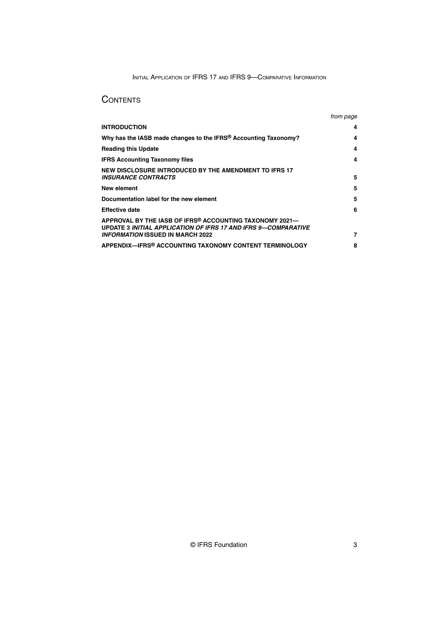INITIAL APPLICATION OF IFRS 17 AND IFRS 9—COMPARATIVE INFORMATION

## **CONTENTS**

|                                                                                                                           | <i>trom page</i> |
|---------------------------------------------------------------------------------------------------------------------------|------------------|
| <b>INTRODUCTION</b>                                                                                                       | 4                |
| Why has the IASB made changes to the IFRS® Accounting Taxonomy?                                                           | 4                |
| <b>Reading this Update</b>                                                                                                | 4                |
| <b>IFRS Accounting Taxonomy files</b>                                                                                     | 4                |
| NEW DISCLOSURE INTRODUCED BY THE AMENDMENT TO IFRS 17<br><b>INSURANCE CONTRACTS</b>                                       | 5                |
| New element                                                                                                               | 5                |
| Documentation label for the new element                                                                                   | 5                |
| <b>Effective date</b>                                                                                                     | 6                |
| APPROVAL BY THE IASB OF IFRS® ACCOUNTING TAXONOMY 2021-<br>UPDATE 3 INITIAL APPLICATION OF IFRS 17 AND IFRS 9-COMPARATIVE |                  |
| INFORMATION ISSUED IN MARCH 2022                                                                                          | 7                |
| APPENDIX—IFRS® ACCOUNTING TAXONOMY CONTENT TERMINOLOGY                                                                    | 8                |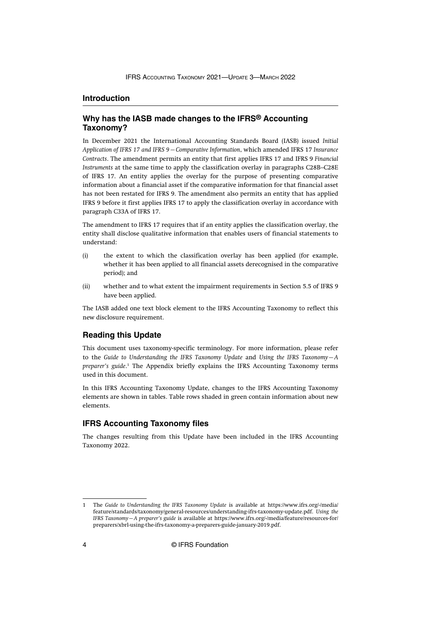#### <span id="page-4-0"></span>**Introduction**

#### **Why has the IASB made changes to the IFRS® Accounting Taxonomy?**

In December 2021 the International Accounting Standards Board (IASB) issued *Initial Application of IFRS 17 and IFRS 9—Comparative Information*, which amended IFRS 17 *Insurance Contracts*. The amendment permits an entity that first applies IFRS 17 and IFRS 9 *Financial Instruments* at the same time to apply the classification overlay in paragraphs C28B–C28E of IFRS 17. An entity applies the overlay for the purpose of presenting comparative information about a financial asset if the comparative information for that financial asset has not been restated for IFRS 9. The amendment also permits an entity that has applied IFRS 9 before it first applies IFRS 17 to apply the classification overlay in accordance with paragraph C33A of IFRS 17.

The amendment to IFRS 17 requires that if an entity applies the classification overlay, the entity shall disclose qualitative information that enables users of financial statements to understand:

- (i) the extent to which the classification overlay has been applied (for example, whether it has been applied to all financial assets derecognised in the comparative period); and
- (ii) whether and to what extent the impairment requirements in Section 5.5 of IFRS 9 have been applied.

The IASB added one text block element to the IFRS Accounting Taxonomy to reflect this new disclosure requirement.

#### **Reading this Update**

This document uses taxonomy-specific terminology. For more information, please refer to the *Guide to Understanding the IFRS Taxonomy Update* and *Using the IFRS Taxonomy—A* preparer's guide.<sup>1</sup> The Appendix briefly explains the IFRS Accounting Taxonomy terms used in this document.

In this IFRS Accounting Taxonomy Update, changes to the IFRS Accounting Taxonomy elements are shown in tables. Table rows shaded in green contain information about new elements.

#### **IFRS Accounting Taxonomy files**

The changes resulting from this Update have been included in the IFRS Accounting Taxonomy 2022.

<sup>1</sup> The *Guide to Understanding the IFRS Taxonomy Update* is available at [https://www.ifrs.org/-/media/](https://www.ifrs.org/-/media/feature/standards/taxonomy/general-resources/understanding-ifrs-taxonomy-update.pdf) [feature/standards/taxonomy/general-resources/understanding-ifrs-taxonomy-update.pdf](https://www.ifrs.org/-/media/feature/standards/taxonomy/general-resources/understanding-ifrs-taxonomy-update.pdf). *Using the IFRS Taxonomy—A preparer's guide* is available at [https://www.ifrs.org/-/media/feature/resources-for/](https://www.ifrs.org/-/media/feature/resources-for/preparers/xbrl-using-the-ifrs-taxonomy-a-preparers-guide-january-2019.pdf) [preparers/xbrl-using-the-ifrs-taxonomy-a-preparers-guide-january-2019.pdf](https://www.ifrs.org/-/media/feature/resources-for/preparers/xbrl-using-the-ifrs-taxonomy-a-preparers-guide-january-2019.pdf).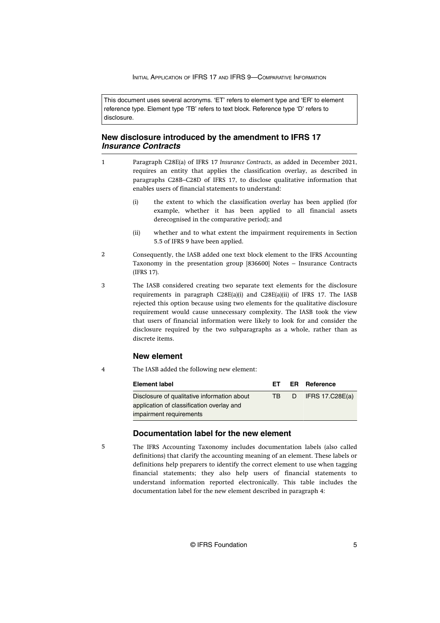INITIAL APPLICATION OF IFRS 17 AND IFRS 9-COMPARATIVE INFORMATION

<span id="page-5-0"></span>This document uses several acronyms. 'ET' refers to element type and 'ER' to element reference type. Element type 'TB' refers to text block. Reference type 'D' refers to disclosure.

#### **New disclosure introduced by the amendment to IFRS 17 Insurance Contracts**

- Paragraph C28E(a) of IFRS 17 *Insurance Contracts*, as added in December 2021, requires an entity that applies the classification overlay, as described in paragraphs C28B–C28D of IFRS 17, to disclose qualitative information that enables users of financial statements to understand: 1
	- (i) the extent to which the classification overlay has been applied (for example, whether it has been applied to all financial assets derecognised in the comparative period); and
	- (ii) whether and to what extent the impairment requirements in Section 5.5 of IFRS 9 have been applied.
- Consequently, the IASB added one text block element to the IFRS Accounting Taxonomy in the presentation group [836600] Notes – Insurance Contracts (IFRS 17).  $\overline{2}$
- The IASB considered creating two separate text elements for the disclosure requirements in paragraph C28E(a)(i) and C28E(a)(ii) of IFRS 17. The IASB rejected this option because using two elements for the qualitative disclosure requirement would cause unnecessary complexity. The IASB took the view that users of financial information were likely to look for and consider the disclosure required by the two subparagraphs as a whole, rather than as discrete items. 3

#### **New element**

The IASB added the following new element: 4

| <b>Element label</b>                        | FT. |    | <b>ER</b> Reference |
|---------------------------------------------|-----|----|---------------------|
| Disclosure of qualitative information about | TB. | D. | IFRS $17.C28E(a)$   |
| application of classification overlay and   |     |    |                     |
| impairment requirements                     |     |    |                     |

#### **Documentation label for the new element**

5

The IFRS Accounting Taxonomy includes documentation labels (also called definitions) that clarify the accounting meaning of an element. These labels or definitions help preparers to identify the correct element to use when tagging financial statements; they also help users of financial statements to understand information reported electronically. This table includes the documentation label for the new element described in paragraph 4: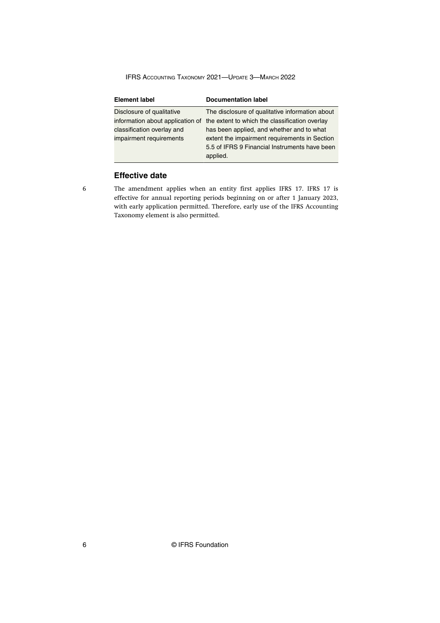<span id="page-6-0"></span>IFRS ACCOUNTING TAXONOMY 2021—UPDATE 3—MARCH 2022

| <b>Element label</b>                                          | <b>Documentation label</b>                                                                                                                              |
|---------------------------------------------------------------|---------------------------------------------------------------------------------------------------------------------------------------------------------|
| Disclosure of qualitative<br>information about application of | The disclosure of qualitative information about<br>the extent to which the classification overlay                                                       |
| classification overlay and<br>impairment requirements         | has been applied, and whether and to what<br>extent the impairment requirements in Section<br>5.5 of IFRS 9 Financial Instruments have been<br>applied. |

### **Effective date**

6

The amendment applies when an entity first applies IFRS 17. IFRS 17 is effective for annual reporting periods beginning on or after 1 January 2023, with early application permitted. Therefore, early use of the IFRS Accounting Taxonomy element is also permitted.

6 © IFRS Foundation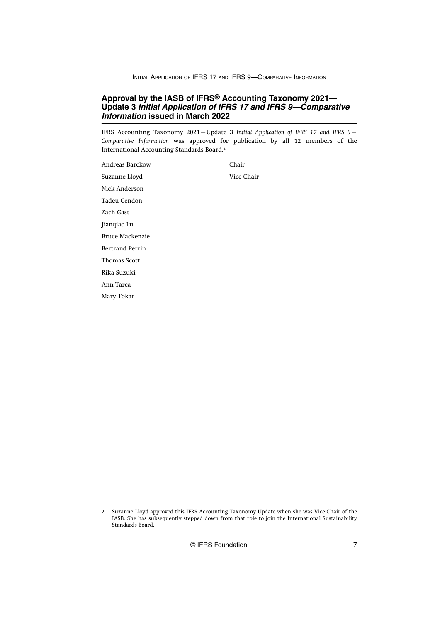INITIAL APPLICATION OF IFRS 17 AND IFRS 9—COMPARATIVE INFORMATION

#### <span id="page-7-0"></span>**Approval by the IASB of IFRS® Accounting Taxonomy 2021— Update 3 Initial Application of IFRS 17 and IFRS 9—Comparative Information issued in March 2022**

IFRS Accounting Taxonomy 2021—Update 3 *Initial Application of IFRS 17 and IFRS 9— Comparative Information* was approved for publication by all 12 members of the International Accounting Standards Board.<sup>2</sup>

Andreas Barckow Chair Suzanne Lloyd Vice-Chair Nick Anderson Tadeu Cendon Zach Gast Jianqiao Lu Bruce Mackenzie Bertrand Perrin Thomas Scott Rika Suzuki Ann Tarca Mary Tokar

© IFRS Foundation 7

<sup>2</sup> Suzanne Lloyd approved this IFRS Accounting Taxonomy Update when she was Vice-Chair of the IASB. She has subsequently stepped down from that role to join the International Sustainability Standards Board.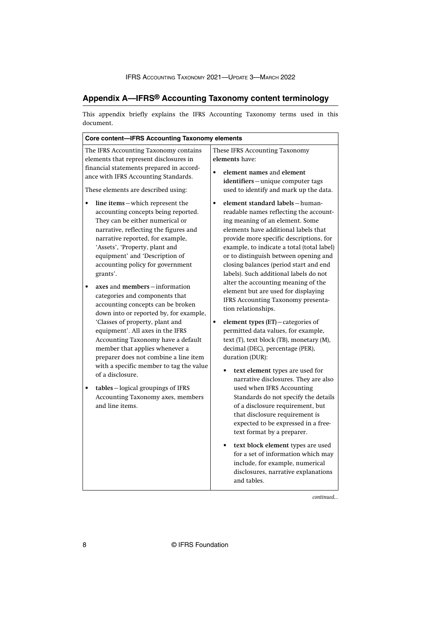## <span id="page-8-0"></span>**Appendix A—IFRS® Accounting Taxonomy content terminology**

This appendix briefly explains the IFRS Accounting Taxonomy terms used in this document.

| These IFRS Accounting Taxonomy<br>The IFRS Accounting Taxonomy contains<br>elements have:<br>elements that represent disclosures in<br>financial statements prepared in accord-<br>element names and element<br>ance with IFRS Accounting Standards.<br>identifiers-unique computer tags<br>used to identify and mark up the data.<br>These elements are described using:<br>element standard labels-human-<br>line items-which represent the<br>$\bullet$<br>accounting concepts being reported.<br>readable names reflecting the account-<br>They can be either numerical or<br>ing meaning of an element. Some<br>elements have additional labels that<br>narrative, reflecting the figures and<br>narrative reported, for example,<br>provide more specific descriptions, for<br>'Assets', 'Property, plant and<br>example, to indicate a total (total label)<br>equipment' and 'Description of<br>or to distinguish between opening and<br>accounting policy for government<br>closing balances (period start and end<br>labels). Such additional labels do not<br>grants'.<br>alter the accounting meaning of the<br>axes and members-information<br>element but are used for displaying<br>categories and components that<br>IFRS Accounting Taxonomy presenta-<br>accounting concepts can be broken<br>tion relationships.<br>down into or reported by, for example,<br>'Classes of property, plant and<br>element types (ET)-categories of<br>$\bullet$<br>equipment'. All axes in the IFRS<br>permitted data values, for example,<br>text (T), text block (TB), monetary (M),<br>Accounting Taxonomy have a default<br>member that applies whenever a<br>decimal (DEC), percentage (PER),<br>preparer does not combine a line item<br>duration (DUR):<br>with a specific member to tag the value<br>text element types are used for<br>of a disclosure.<br>narrative disclosures. They are also<br>used when IFRS Accounting<br>tables-logical groupings of IFRS<br>Accounting Taxonomy axes, members<br>Standards do not specify the details<br>and line items.<br>of a disclosure requirement, but<br>that disclosure requirement is<br>expected to be expressed in a free-<br>text format by a preparer.<br>text block element types are used<br>for a set of information which may<br>include, for example, numerical<br>disclosures, narrative explanations<br>and tables. | <b>Core content-IFRS Accounting Taxonomy elements</b> |  |  |
|-------------------------------------------------------------------------------------------------------------------------------------------------------------------------------------------------------------------------------------------------------------------------------------------------------------------------------------------------------------------------------------------------------------------------------------------------------------------------------------------------------------------------------------------------------------------------------------------------------------------------------------------------------------------------------------------------------------------------------------------------------------------------------------------------------------------------------------------------------------------------------------------------------------------------------------------------------------------------------------------------------------------------------------------------------------------------------------------------------------------------------------------------------------------------------------------------------------------------------------------------------------------------------------------------------------------------------------------------------------------------------------------------------------------------------------------------------------------------------------------------------------------------------------------------------------------------------------------------------------------------------------------------------------------------------------------------------------------------------------------------------------------------------------------------------------------------------------------------------------------------------------------------------------------------------------------------------------------------------------------------------------------------------------------------------------------------------------------------------------------------------------------------------------------------------------------------------------------------------------------------------------------------------------------------------------------------------------------------------------------------------------------|-------------------------------------------------------|--|--|
|                                                                                                                                                                                                                                                                                                                                                                                                                                                                                                                                                                                                                                                                                                                                                                                                                                                                                                                                                                                                                                                                                                                                                                                                                                                                                                                                                                                                                                                                                                                                                                                                                                                                                                                                                                                                                                                                                                                                                                                                                                                                                                                                                                                                                                                                                                                                                                                           |                                                       |  |  |
|                                                                                                                                                                                                                                                                                                                                                                                                                                                                                                                                                                                                                                                                                                                                                                                                                                                                                                                                                                                                                                                                                                                                                                                                                                                                                                                                                                                                                                                                                                                                                                                                                                                                                                                                                                                                                                                                                                                                                                                                                                                                                                                                                                                                                                                                                                                                                                                           |                                                       |  |  |

*continued...*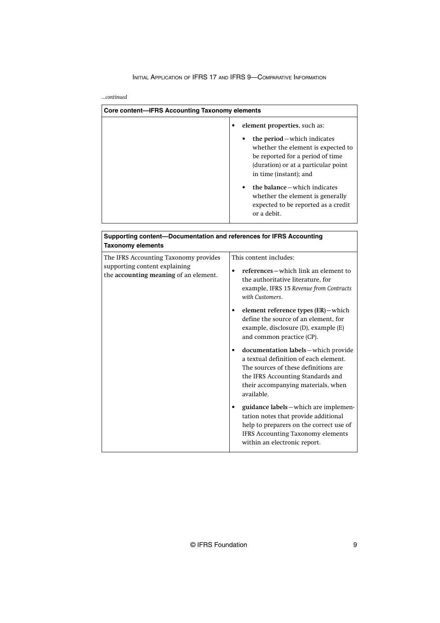#### INITIAL APPLICATION OF IFRS 17 AND IFRS 9—COMPARATIVE INFORMATION

*...continued*

| Core content—IFRS Accounting Taxonomy elements |                                                                                                                                                                                                                                                                                                                     |
|------------------------------------------------|---------------------------------------------------------------------------------------------------------------------------------------------------------------------------------------------------------------------------------------------------------------------------------------------------------------------|
|                                                | element properties, such as:<br>the period – which indicates<br>whether the element is expected to<br>be reported for a period of time<br>(duration) or at a particular point<br>in time (instant); and<br>the balance – which indicates<br>whether the element is generally<br>expected to be reported as a credit |
|                                                | or a debit.                                                                                                                                                                                                                                                                                                         |

| Supporting content--Documentation and references for IFRS Accounting<br><b>Taxonomy elements</b>                |                                                                                                                                                                                                                                                                                                                                                                                                                                                                                                                                                                                                                                                                                                                                                                      |
|-----------------------------------------------------------------------------------------------------------------|----------------------------------------------------------------------------------------------------------------------------------------------------------------------------------------------------------------------------------------------------------------------------------------------------------------------------------------------------------------------------------------------------------------------------------------------------------------------------------------------------------------------------------------------------------------------------------------------------------------------------------------------------------------------------------------------------------------------------------------------------------------------|
| The IFRS Accounting Taxonomy provides<br>supporting content explaining<br>the accounting meaning of an element. | This content includes:<br>references – which link an element to<br>$\bullet$<br>the authoritative literature, for<br>example, IFRS 15 Revenue from Contracts<br>with Customers.<br>element reference types (ER)-which<br>٠<br>define the source of an element, for<br>example, disclosure $(D)$ , example $(E)$<br>and common practice (CP).<br>documentation labels-which provide<br>a textual definition of each element.<br>The sources of these definitions are<br>the IFRS Accounting Standards and<br>their accompanying materials, when<br>available.<br>guidance labels - which are implemen-<br>tation notes that provide additional<br>help to preparers on the correct use of<br><b>IFRS Accounting Taxonomy elements</b><br>within an electronic report. |